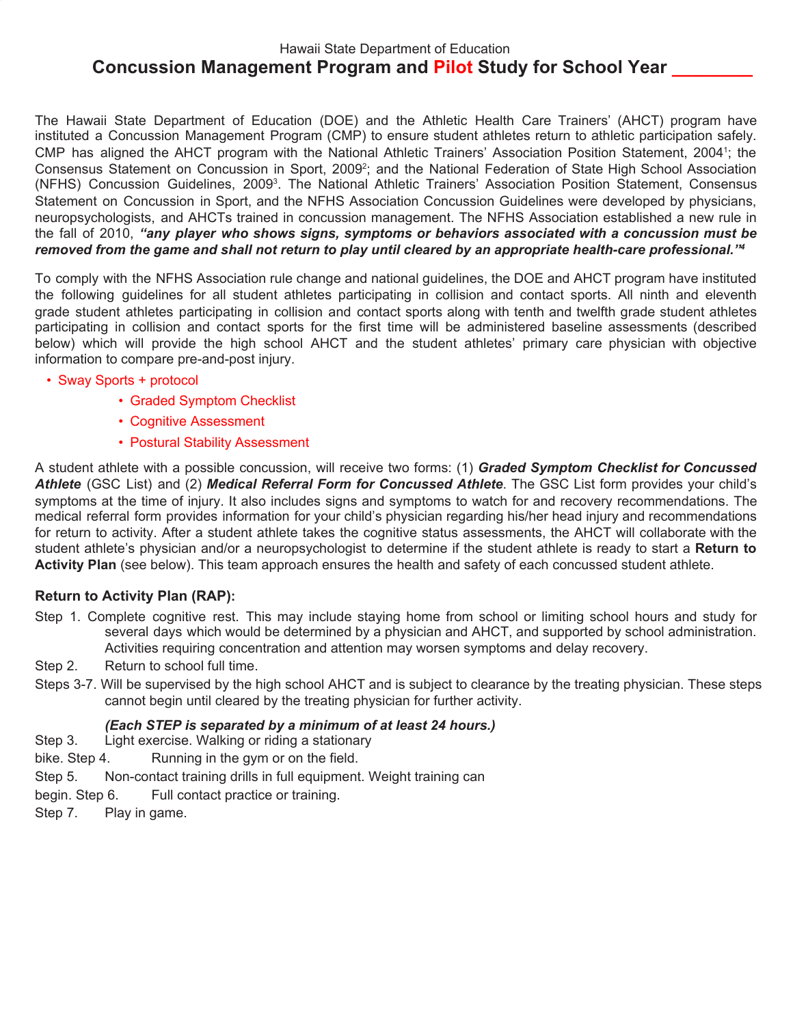# Hawaii State Department of Education **Concussion Management Program and Pilot Study for School Year \_\_\_\_\_\_\_\_**

The Hawaii State Department of Education (DOE) and the Athletic Health Care Trainers' (AHCT) program have instituted a Concussion Management Program (CMP) to ensure student athletes return to athletic participation safely. CMP has aligned the AHCT program with the National Athletic Trainers' Association Position Statement, 20041; the Consensus Statement on Concussion in Sport, 2009<sup>2</sup>; and the National Federation of State High School Association (NFHS) Concussion Guidelines, 2009<sup>3</sup>. The National Athletic Trainers' Association Position Statement, Consensus Statement on Concussion in Sport, and the NFHS Association Concussion Guidelines were developed by physicians, neuropsychologists, and AHCTs trained in concussion management. The NFHS Association established a new rule in the fall of 2010, *"any player who shows signs, symptoms or behaviors associated with a concussion must be removed from the game and shall not return to play until cleared by an appropriate health-care professional."<sup>4</sup>*

To comply with the NFHS Association rule change and national guidelines, the DOE and AHCT program have instituted the following guidelines for all student athletes participating in collision and contact sports. All ninth and eleventh grade student athletes participating in collision and contact sports along with tenth and twelfth grade student athletes participating in collision and contact sports for the first time will be administered baseline assessments (described below) which will provide the high school AHCT and the student athletes' primary care physician with objective information to compare pre-and-post injury.

### • Sway Sports + protocol

- Graded Symptom Checklist
- Cognitive Assessment
- Postural Stability Assessment

A student athlete with a possible concussion, will receive two forms: (1) *Graded Symptom Checklist for Concussed Athlete* (GSC List) and (2) *Medical Referral Form for Concussed Athlete*. The GSC List form provides your child's symptoms at the time of injury. It also includes signs and symptoms to watch for and recovery recommendations. The medical referral form provides information for your child's physician regarding his/her head injury and recommendations for return to activity. After a student athlete takes the cognitive status assessments, the AHCT will collaborate with the student athlete's physician and/or a neuropsychologist to determine if the student athlete is ready to start a **Return to Activity Plan** (see below). This team approach ensures the health and safety of each concussed student athlete.

### **Return to Activity Plan (RAP):**

- Step 1. Complete cognitive rest. This may include staying home from school or limiting school hours and study for several days which would be determined by a physician and AHCT, and supported by school administration. Activities requiring concentration and attention may worsen symptoms and delay recovery.
- Step 2. Return to school full time.
- Steps 3-7. Will be supervised by the high school AHCT and is subject to clearance by the treating physician. These steps cannot begin until cleared by the treating physician for further activity.

### *(Each STEP is separated by a minimum of at least 24 hours.)*

- Step 3. Light exercise. Walking or riding a stationary
- bike. Step 4. Running in the gym or on the field.
- Step 5. Non-contact training drills in full equipment. Weight training can
- begin. Step 6. Full contact practice or training.
- Step 7. Play in game.